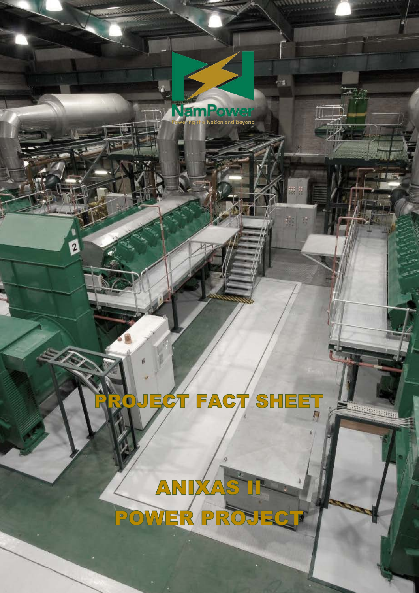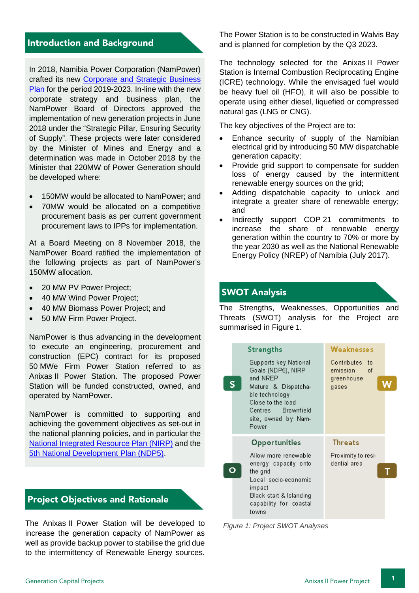#### Introduction and Background

In 2018, Namibia Power Corporation (NamPower) crafted its new [Corporate and Strategic Business](https://www.nampower.com.na/Page.aspx?p=233)  [Plan](https://www.nampower.com.na/Page.aspx?p=233) for the period 2019-2023. In-line with the new corporate strategy and business plan, the NamPower Board of Directors approved the implementation of new generation projects in June 2018 under the "Strategic Pillar, Ensuring Security of Supply". These projects were later considered by the Minister of Mines and Energy and a determination was made in October 2018 by the Minister that 220MW of Power Generation should be developed where:

- 150MW would be allocated to NamPower; and
- 70MW would be allocated on a competitive procurement basis as per current government procurement laws to IPPs for implementation.

At a Board Meeting on 8 November 2018, the NamPower Board ratified the implementation of the following projects as part of NamPower's 150MW allocation.

- 20 MW PV Power Project;
- 40 MW Wind Power Project;
- 40 MW Biomass Power Project; and
- 50 MW Firm Power Project.

NamPower is thus advancing in the development to execute an engineering, procurement and construction (EPC) contract for its proposed 50 MWe Firm Power Station referred to as Anixas II Power Station. The proposed Power Station will be funded constructed, owned, and operated by NamPower.

NamPower is committed to supporting and achieving the government objectives as set-out in the national planning policies, and in particular the [National Integrated Resource Plan \(NIRP\)](http://www.mme.gov.na/files/publications/f74_29a_ELECTRICITY%20SECTOR%20NATIONAL%20INTEGRATED%20RESOURCE%20PLAN%20(NIRP)%202016%20FINAL%20REPORT.pdf) and the [5th National Development Plan \(NDP5\)](https://www.npc.gov.na/?page_id=948).

#### Project Objectives and Rationale

The Anixas II Power Station will be developed to increase the generation capacity of NamPower as well as provide backup power to stabilise the grid due to the intermittency of Renewable Energy sources.

The Power Station is to be constructed in Walvis Bay and is planned for completion by the Q3 2023.

The technology selected for the Anixas II Power Station is Internal Combustion Reciprocating Engine (ICRE) technology. While the envisaged fuel would be heavy fuel oil (HFO), it will also be possible to operate using either diesel, liquefied or compressed natural gas (LNG or CNG).

The key objectives of the Project are to:

- Enhance security of supply of the Namibian electrical grid by introducing 50 MW dispatchable generation capacity;
- Provide grid support to compensate for sudden loss of energy caused by the intermittent renewable energy sources on the grid;
- Adding dispatchable capacity to unlock and integrate a greater share of renewable energy; and
- Indirectly support COP 21 commitments to increase the share of renewable energy generation within the country to 70% or more by the year 2030 as well as the National Renewable Energy Policy (NREP) of Namibia (July 2017).

## SWOT Analysis

The Strengths, Weaknesses, Opportunities and Threats (SWOT) analysis for the Project are summarised in [Figure](#page-2-0) [1.](#page-2-0)

|  | Strengths<br>Supports key National<br>Goals (NDP5), NIRP<br>and NREP<br>Mature & Dispatcha-<br>ble technology<br>Close to the load<br>Centres Brownfield<br>site, owned by Nam-<br>Power | <b>Weaknesses</b><br>Contributes to<br>emission<br>- of<br>greenhouse<br>gases |  |
|--|------------------------------------------------------------------------------------------------------------------------------------------------------------------------------------------|--------------------------------------------------------------------------------|--|
|  | Opportunities                                                                                                                                                                            | Threats                                                                        |  |
|  | Allow more renewable<br>energy capacity onto<br>the grid<br>Local socio-economic<br>impact<br>Black start & Islanding<br>capability for coastal<br>towns                                 | Proximity to resi-<br>dential area                                             |  |

<span id="page-2-0"></span>*Figure 1: Project SWOT Analyses*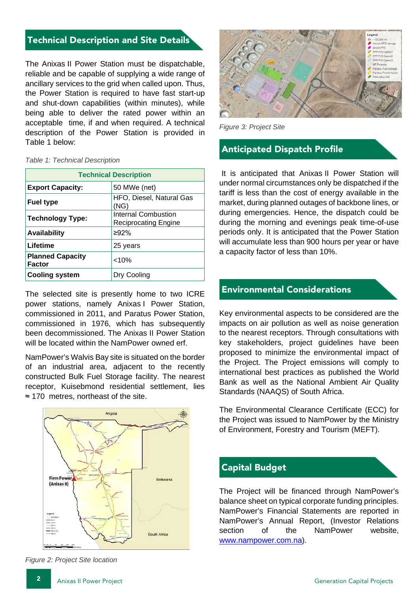#### Technical Description and Site Details

The Anixas II Power Station must be dispatchable, reliable and be capable of supplying a wide range of ancillary services to the grid when called upon. Thus, the Power Station is required to have fast start-up and shut-down capabilities (within minutes), while being able to deliver the rated power within an acceptable time, if and when required. A technical description of the Power Station is provided in Table 1 below:

#### *Table 1: Technical Description*

| <b>Technical Description</b>             |                                                    |  |  |
|------------------------------------------|----------------------------------------------------|--|--|
| <b>Export Capacity:</b>                  | 50 MWe (net)                                       |  |  |
| <b>Fuel type</b>                         | HFO, Diesel, Natural Gas<br>(NG)                   |  |  |
| <b>Technology Type:</b>                  | Internal Combustion<br><b>Reciprocating Engine</b> |  |  |
| <b>Availability</b>                      | $\geq 92\%$                                        |  |  |
| Lifetime                                 | 25 years                                           |  |  |
| <b>Planned Capacity</b><br><b>Factor</b> | $< 10\%$                                           |  |  |
| <b>Cooling system</b>                    | Dry Cooling                                        |  |  |

The selected site is presently home to two ICRE power stations, namely Anixas I Power Station, commissioned in 2011, and Paratus Power Station, commissioned in 1976, which has subsequently been decommissioned. The Anixas II Power Station will be located within the NamPower owned erf.

NamPower's Walvis Bay site is situated on the border of an industrial area, adjacent to the recently constructed Bulk Fuel Storage facility. The nearest receptor, Kuisebmond residential settlement, lies ≈ 170 metres, northeast of the site.



*Figure 2: Project Site location*



*Figure 3: Project Site*

#### Anticipated Dispatch Profile

It is anticipated that Anixas II Power Station will under normal circumstances only be dispatched if the tariff is less than the cost of energy available in the market, during planned outages of backbone lines, or during emergencies. Hence, the dispatch could be during the morning and evenings peak time-of-use periods only. It is anticipated that the Power Station will accumulate less than 900 hours per year or have a capacity factor of less than 10%.

#### Environmental Considerations

Key environmental aspects to be considered are the impacts on air pollution as well as noise generation to the nearest receptors. Through consultations with key stakeholders, project guidelines have been proposed to minimize the environmental impact of the Project. The Project emissions will comply to international best practices as published the World Bank as well as the National Ambient Air Quality Standards (NAAQS) of South Africa.

The Environmental Clearance Certificate (ECC) for the Project was issued to NamPower by the Ministry of Environment, Forestry and Tourism (MEFT).

#### Capital Budget

The Project will be financed through NamPower's balance sheet on typical corporate funding principles. NamPower's Financial Statements are reported in NamPower's Annual Report, (Investor Relations section of the NamPower website. [www.nampower.com.na\)](http://www.nampower.com.na/).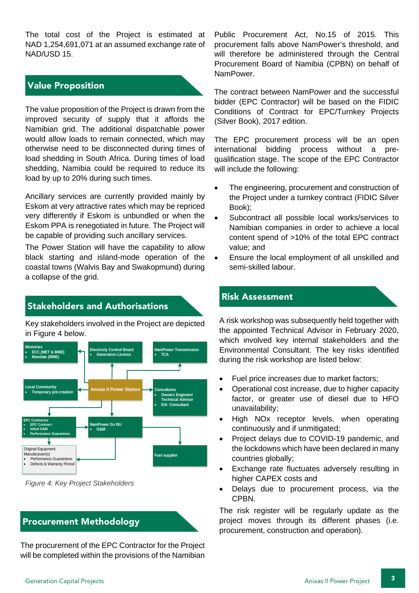The total cost of the Project is estimated at NAD 1,254,691,071 at an assumed exchange rate of NAD/USD 15.

### Value Proposition

The value proposition of the Project is drawn from the improved security of supply that it affords the Namibian grid. The additional dispatchable power would allow loads to remain connected, which may otherwise need to be disconnected during times of load shedding in South Africa. During times of load shedding, Namibia could be required to reduce its load by up to 20% during such times.

Ancillary services are currently provided mainly by Eskom at very attractive rates which may be repriced very differently if Eskom is unbundled or when the Eskom PPA is renegotiated in future. The Project will be capable of providing such ancillary services.

The Power Station will have the capability to allow black starting and island-mode operation of the coastal towns (Walvis Bay and Swakopmund) during a collapse of the grid.

# Stakeholders and Authorisations

Key stakeholders involved in the Project are depicted in [Figure 4](#page-4-0) below.



<span id="page-4-0"></span>*Figure 4: Key Project Stakeholders*

## Procurement Methodology

The procurement of the EPC Contractor for the Project will be completed within the provisions of the Namibian

Public Procurement Act, No.15 of 2015. This procurement falls above NamPower's threshold, and will therefore be administered through the Central Procurement Board of Namibia (CPBN) on behalf of NamPower.

The contract between NamPower and the successful bidder (EPC Contractor) will be based on the FIDIC Conditions of Contract for EPC/Turnkey Projects (Silver Book), 2017 edition.

The EPC procurement process will be an open international bidding process without a prequalification stage. The scope of the EPC Contractor will include the following:

- The engineering, procurement and construction of the Project under a turnkey contract (FIDIC Silver Book);
- Subcontract all possible local works/services to Namibian companies in order to achieve a local content spend of >10% of the total EPC contract value; and
- Ensure the local employment of all unskilled and semi-skilled labour.

#### Risk Assessment

A risk workshop was subsequently held together with the appointed Technical Advisor in February 2020, which involved key internal stakeholders and the Environmental Consultant. The key risks identified during the risk workshop are listed below:

- Fuel price increases due to market factors;
- Operational cost increase, due to higher capacity factor, or greater use of diesel due to HFO unavailability;
- High NO<sub>x</sub> receptor levels, when operating continuously and if unmitigated;
- Project delays due to COVID-19 pandemic, and the lockdowns which have been declared in many countries globally;
- Exchange rate fluctuates adversely resulting in higher CAPEX costs and
- Delays due to procurement process, via the CPBN.

The risk register will be regularly update as the project moves through its different phases (i.e. procurement, construction and operation).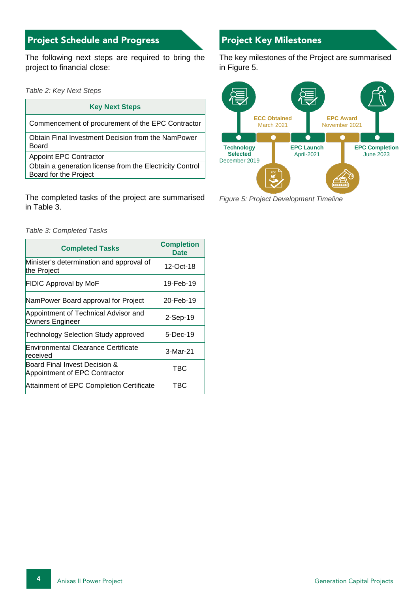# Project Schedule and Progress Project Key Milestones

The following next steps are required to bring the project to financial close:

*Table 2: Key Next Steps*

#### **Key Next Steps**

Commencement of procurement of the EPC Contractor

Obtain Final Investment Decision from the NamPower Board

Appoint EPC Contractor

Obtain a generation license from the Electricity Control Board for the Project

The completed tasks of the project are summarised in Table 3.

*Table 3: Completed Tasks*

| <b>Completed Tasks</b>                                         | <b>Completion</b><br><b>Date</b> |
|----------------------------------------------------------------|----------------------------------|
| Minister's determination and approval of<br>the Project        | 12-Oct-18                        |
| <b>FIDIC Approval by MoF</b>                                   | 19-Feb-19                        |
| NamPower Board approval for Project                            | 20-Feb-19                        |
| Appointment of Technical Advisor and<br>Owners Engineer        | $2-Sep-19$                       |
| <b>Technology Selection Study approved</b>                     | 5-Dec-19                         |
| Environmental Clearance Certificate<br>received                | 3-Mar-21                         |
| Board Final Invest Decision &<br>Appointment of EPC Contractor | TBC                              |
| Attainment of EPC Completion Certificate                       | TBC                              |

The key milestones of the Project are summarised in [Figure 5.](#page-5-0)



<span id="page-5-0"></span>*Figure 5: Project Development Timeline*